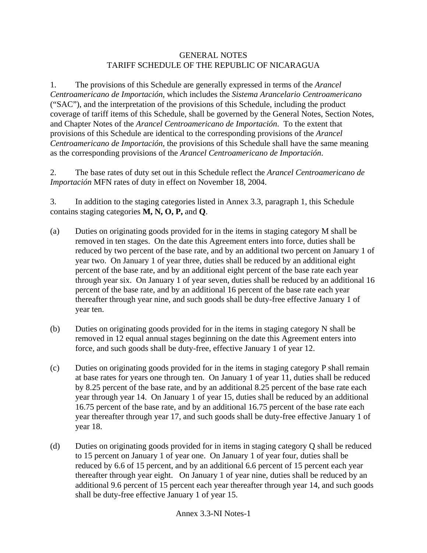## GENERAL NOTES TARIFF SCHEDULE OF THE REPUBLIC OF NICARAGUA

1. The provisions of this Schedule are generally expressed in terms of the *Arancel Centroamericano de Importación*, which includes the *Sistema Arancelario Centroamericano*  ("SAC"), and the interpretation of the provisions of this Schedule, including the product coverage of tariff items of this Schedule, shall be governed by the General Notes, Section Notes, and Chapter Notes of the *Arancel Centroamericano de Importación*. To the extent that provisions of this Schedule are identical to the corresponding provisions of the *Arancel Centroamericano de Importación*, the provisions of this Schedule shall have the same meaning as the corresponding provisions of the *Arancel Centroamericano de Importación*.

2. The base rates of duty set out in this Schedule reflect the *Arancel Centroamericano de Importación* MFN rates of duty in effect on November 18, 2004.

3. In addition to the staging categories listed in Annex 3.3, paragraph 1, this Schedule contains staging categories **M, N, O, P,** and **Q**.

- (a) Duties on originating goods provided for in the items in staging category M shall be removed in ten stages. On the date this Agreement enters into force, duties shall be reduced by two percent of the base rate, and by an additional two percent on January 1 of year two. On January 1 of year three, duties shall be reduced by an additional eight percent of the base rate, and by an additional eight percent of the base rate each year through year six. On January 1 of year seven, duties shall be reduced by an additional 16 percent of the base rate, and by an additional 16 percent of the base rate each year thereafter through year nine, and such goods shall be duty-free effective January 1 of year ten.
- (b) Duties on originating goods provided for in the items in staging category N shall be removed in 12 equal annual stages beginning on the date this Agreement enters into force, and such goods shall be duty-free, effective January 1 of year 12.
- (c) Duties on originating goods provided for in the items in staging category P shall remain at base rates for years one through ten. On January 1 of year 11, duties shall be reduced by 8.25 percent of the base rate, and by an additional 8.25 percent of the base rate each year through year 14. On January 1 of year 15, duties shall be reduced by an additional 16.75 percent of the base rate, and by an additional 16.75 percent of the base rate each year thereafter through year 17, and such goods shall be duty-free effective January 1 of year 18.
- (d) Duties on originating goods provided for in items in staging category Q shall be reduced to 15 percent on January 1 of year one. On January 1 of year four, duties shall be reduced by 6.6 of 15 percent, and by an additional 6.6 percent of 15 percent each year thereafter through year eight. On January 1 of year nine, duties shall be reduced by an additional 9.6 percent of 15 percent each year thereafter through year 14, and such goods shall be duty-free effective January 1 of year 15.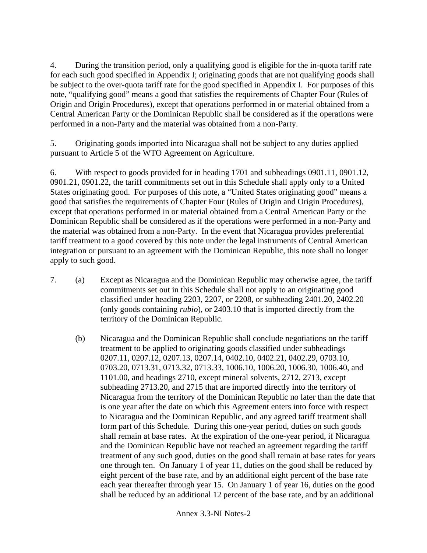4. During the transition period, only a qualifying good is eligible for the in-quota tariff rate for each such good specified in Appendix I; originating goods that are not qualifying goods shall be subject to the over-quota tariff rate for the good specified in Appendix I. For purposes of this note, "qualifying good" means a good that satisfies the requirements of Chapter Four (Rules of Origin and Origin Procedures), except that operations performed in or material obtained from a Central American Party or the Dominican Republic shall be considered as if the operations were performed in a non-Party and the material was obtained from a non-Party.

5. Originating goods imported into Nicaragua shall not be subject to any duties applied pursuant to Article 5 of the WTO Agreement on Agriculture.

6. With respect to goods provided for in heading 1701 and subheadings 0901.11, 0901.12, 0901.21, 0901.22, the tariff commitments set out in this Schedule shall apply only to a United States originating good. For purposes of this note, a "United States originating good" means a good that satisfies the requirements of Chapter Four (Rules of Origin and Origin Procedures), except that operations performed in or material obtained from a Central American Party or the Dominican Republic shall be considered as if the operations were performed in a non-Party and the material was obtained from a non-Party. In the event that Nicaragua provides preferential tariff treatment to a good covered by this note under the legal instruments of Central American integration or pursuant to an agreement with the Dominican Republic, this note shall no longer apply to such good.

- 7. (a) Except as Nicaragua and the Dominican Republic may otherwise agree, the tariff commitments set out in this Schedule shall not apply to an originating good classified under heading 2203, 2207, or 2208, or subheading 2401.20, 2402.20 (only goods containing *rubio*), or 2403.10 that is imported directly from the territory of the Dominican Republic.
	- (b) Nicaragua and the Dominican Republic shall conclude negotiations on the tariff treatment to be applied to originating goods classified under subheadings 0207.11, 0207.12, 0207.13, 0207.14, 0402.10, 0402.21, 0402.29, 0703.10, 0703.20, 0713.31, 0713.32, 0713.33, 1006.10, 1006.20, 1006.30, 1006.40, and 1101.00, and headings 2710, except mineral solvents, 2712, 2713, except subheading 2713.20, and 2715 that are imported directly into the territory of Nicaragua from the territory of the Dominican Republic no later than the date that is one year after the date on which this Agreement enters into force with respect to Nicaragua and the Dominican Republic, and any agreed tariff treatment shall form part of this Schedule. During this one-year period, duties on such goods shall remain at base rates. At the expiration of the one-year period, if Nicaragua and the Dominican Republic have not reached an agreement regarding the tariff treatment of any such good, duties on the good shall remain at base rates for years one through ten. On January 1 of year 11, duties on the good shall be reduced by eight percent of the base rate, and by an additional eight percent of the base rate each year thereafter through year 15. On January 1 of year 16, duties on the good shall be reduced by an additional 12 percent of the base rate, and by an additional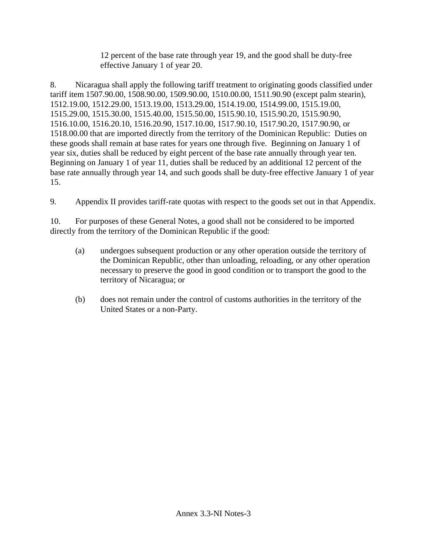12 percent of the base rate through year 19, and the good shall be duty-free effective January 1 of year 20.

8. Nicaragua shall apply the following tariff treatment to originating goods classified under tariff item 1507.90.00, 1508.90.00, 1509.90.00, 1510.00.00, 1511.90.90 (except palm stearin), 1512.19.00, 1512.29.00, 1513.19.00, 1513.29.00, 1514.19.00, 1514.99.00, 1515.19.00, 1515.29.00, 1515.30.00, 1515.40.00, 1515.50.00, 1515.90.10, 1515.90.20, 1515.90.90, 1516.10.00, 1516.20.10, 1516.20.90, 1517.10.00, 1517.90.10, 1517.90.20, 1517.90.90, or 1518.00.00 that are imported directly from the territory of the Dominican Republic: Duties on these goods shall remain at base rates for years one through five. Beginning on January 1 of year six, duties shall be reduced by eight percent of the base rate annually through year ten. Beginning on January 1 of year 11, duties shall be reduced by an additional 12 percent of the base rate annually through year 14, and such goods shall be duty-free effective January 1 of year 15.

9. Appendix II provides tariff-rate quotas with respect to the goods set out in that Appendix.

10. For purposes of these General Notes, a good shall not be considered to be imported directly from the territory of the Dominican Republic if the good:

- (a) undergoes subsequent production or any other operation outside the territory of the Dominican Republic, other than unloading, reloading, or any other operation necessary to preserve the good in good condition or to transport the good to the territory of Nicaragua; or
- (b) does not remain under the control of customs authorities in the territory of the United States or a non-Party.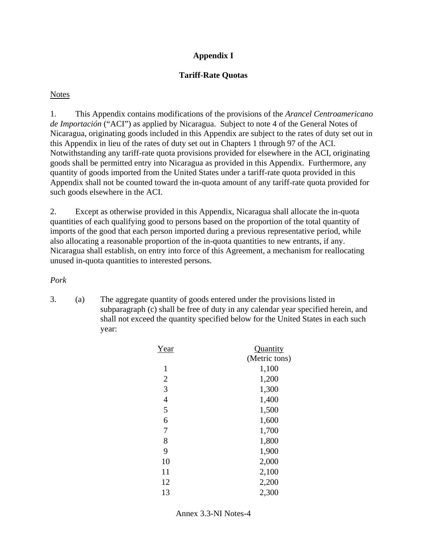# **Appendix I**

# **Tariff-Rate Quotas**

## **Notes**

1. This Appendix contains modifications of the provisions of the *Arancel Centroamericano de Importación* ("ACI") as applied by Nicaragua. Subject to note 4 of the General Notes of Nicaragua, originating goods included in this Appendix are subject to the rates of duty set out in this Appendix in lieu of the rates of duty set out in Chapters 1 through 97 of the ACI. Notwithstanding any tariff-rate quota provisions provided for elsewhere in the ACI, originating goods shall be permitted entry into Nicaragua as provided in this Appendix. Furthermore, any quantity of goods imported from the United States under a tariff-rate quota provided in this Appendix shall not be counted toward the in-quota amount of any tariff-rate quota provided for such goods elsewhere in the ACI.

2. Except as otherwise provided in this Appendix, Nicaragua shall allocate the in-quota quantities of each qualifying good to persons based on the proportion of the total quantity of imports of the good that each person imported during a previous representative period, while also allocating a reasonable proportion of the in-quota quantities to new entrants, if any. Nicaragua shall establish, on entry into force of this Agreement, a mechanism for reallocating unused in-quota quantities to interested persons.

*Pork* 

| Year           | Quantity      |
|----------------|---------------|
|                | (Metric tons) |
| 1              | 1,100         |
| $\overline{2}$ | 1,200         |
| 3              | 1,300         |
| $\overline{4}$ | 1,400         |
| 5              | 1,500         |
| 6              | 1,600         |
| 7              | 1,700         |
| 8              | 1,800         |
| 9              | 1,900         |
| 10             | 2,000         |
| 11             | 2,100         |
| 12             | 2,200         |
| 13             | 2,300         |

Annex 3.3-NI Notes-4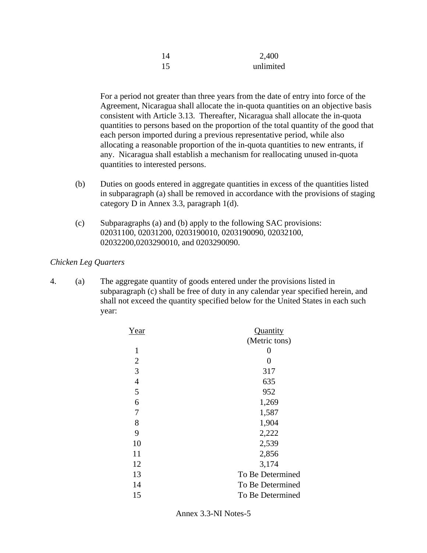| 14 | 2,400     |
|----|-----------|
| 15 | unlimited |

For a period not greater than three years from the date of entry into force of the Agreement, Nicaragua shall allocate the in-quota quantities on an objective basis consistent with Article 3.13. Thereafter, Nicaragua shall allocate the in-quota quantities to persons based on the proportion of the total quantity of the good that each person imported during a previous representative period, while also allocating a reasonable proportion of the in-quota quantities to new entrants, if any. Nicaragua shall establish a mechanism for reallocating unused in-quota quantities to interested persons.

- (b) Duties on goods entered in aggregate quantities in excess of the quantities listed in subparagraph (a) shall be removed in accordance with the provisions of staging category D in Annex 3.3, paragraph 1(d).
- (c) Subparagraphs (a) and (b) apply to the following SAC provisions: 02031100, 02031200, 0203190010, 0203190090, 02032100, 02032200,0203290010, and 0203290090.

## *Chicken Leg Quarters*

| Year           | Quantity         |
|----------------|------------------|
|                | (Metric tons)    |
| 1              | 0                |
| $\overline{2}$ | 0                |
| 3              | 317              |
| $\overline{4}$ | 635              |
| 5              | 952              |
| 6              | 1,269            |
| 7              | 1,587            |
| 8              | 1,904            |
| 9              | 2,222            |
| 10             | 2,539            |
| 11             | 2,856            |
| 12             | 3,174            |
| 13             | To Be Determined |
| 14             | To Be Determined |
| 15             | To Be Determined |
|                |                  |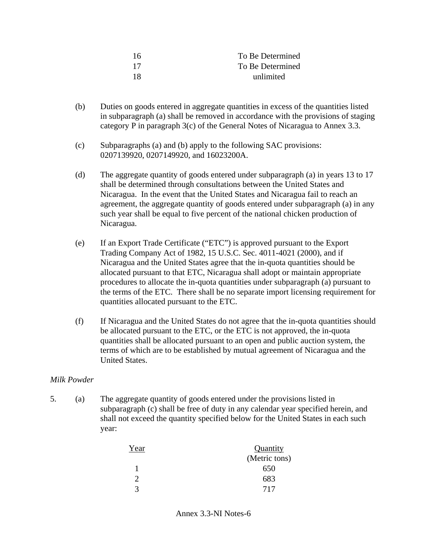| -16 | To Be Determined |
|-----|------------------|
| -17 | To Be Determined |
| -18 | unlimited        |

- (b) Duties on goods entered in aggregate quantities in excess of the quantities listed in subparagraph (a) shall be removed in accordance with the provisions of staging category P in paragraph 3(c) of the General Notes of Nicaragua to Annex 3.3.
- (c) Subparagraphs (a) and (b) apply to the following SAC provisions: 0207139920, 0207149920, and 16023200A.
- (d) The aggregate quantity of goods entered under subparagraph (a) in years 13 to 17 shall be determined through consultations between the United States and Nicaragua. In the event that the United States and Nicaragua fail to reach an agreement, the aggregate quantity of goods entered under subparagraph (a) in any such year shall be equal to five percent of the national chicken production of Nicaragua.
- (e) If an Export Trade Certificate ("ETC") is approved pursuant to the Export Trading Company Act of 1982, 15 U.S.C. Sec. 4011-4021 (2000), and if Nicaragua and the United States agree that the in-quota quantities should be allocated pursuant to that ETC, Nicaragua shall adopt or maintain appropriate procedures to allocate the in-quota quantities under subparagraph (a) pursuant to the terms of the ETC. There shall be no separate import licensing requirement for quantities allocated pursuant to the ETC.
- (f) If Nicaragua and the United States do not agree that the in-quota quantities should be allocated pursuant to the ETC, or the ETC is not approved, the in-quota quantities shall be allocated pursuant to an open and public auction system, the terms of which are to be established by mutual agreement of Nicaragua and the United States.

# *Milk Powder*

| Year                  | Quantity      |
|-----------------------|---------------|
|                       | (Metric tons) |
|                       | 650           |
| $\mathcal{D}_{\cdot}$ | 683           |
| 3                     | 717           |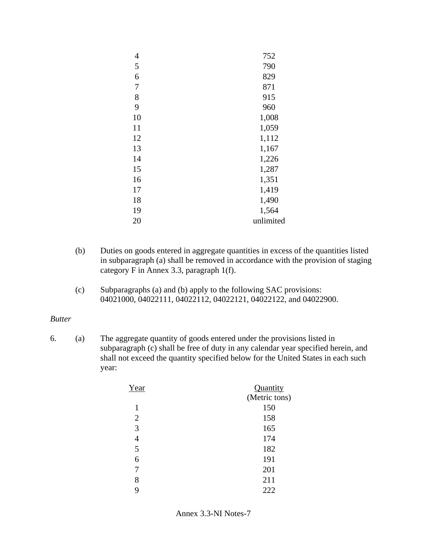| 4  | 752       |
|----|-----------|
| 5  | 790       |
| 6  | 829       |
| 7  | 871       |
| 8  | 915       |
| 9  | 960       |
| 10 | 1,008     |
| 11 | 1,059     |
| 12 | 1,112     |
| 13 | 1,167     |
| 14 | 1,226     |
| 15 | 1,287     |
| 16 | 1,351     |
| 17 | 1,419     |
| 18 | 1,490     |
| 19 | 1,564     |
| 20 | unlimited |
|    |           |

- (b) Duties on goods entered in aggregate quantities in excess of the quantities listed in subparagraph (a) shall be removed in accordance with the provision of staging category F in Annex 3.3, paragraph 1(f).
- (c) Subparagraphs (a) and (b) apply to the following SAC provisions: 04021000, 04022111, 04022112, 04022121, 04022122, and 04022900.

#### *Butter*

| Year           | Quantity      |
|----------------|---------------|
|                | (Metric tons) |
| 1              | 150           |
| $\overline{2}$ | 158           |
| 3              | 165           |
| $\overline{4}$ | 174           |
| 5              | 182           |
| 6              | 191           |
| 7              | 201           |
| 8              | 211           |
| 9              | 222           |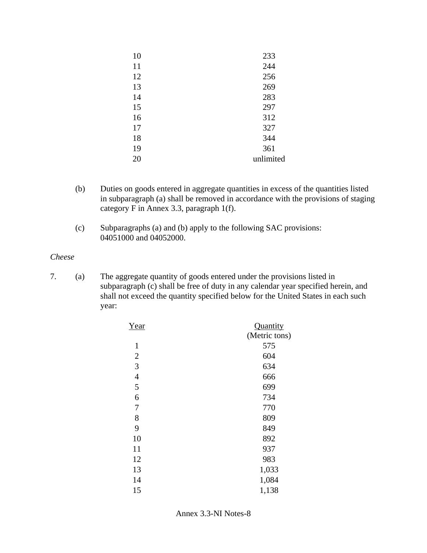| 10 | 233       |
|----|-----------|
| 11 | 244       |
| 12 | 256       |
| 13 | 269       |
| 14 | 283       |
| 15 | 297       |
| 16 | 312       |
| 17 | 327       |
| 18 | 344       |
| 19 | 361       |
| 20 | unlimited |

- (b) Duties on goods entered in aggregate quantities in excess of the quantities listed in subparagraph (a) shall be removed in accordance with the provisions of staging category F in Annex 3.3, paragraph 1(f).
- (c) Subparagraphs (a) and (b) apply to the following SAC provisions: 04051000 and 04052000.

#### *Cheese*

| Year           | Quantity      |
|----------------|---------------|
|                | (Metric tons) |
| $\mathbf{1}$   | 575           |
| $\overline{2}$ | 604           |
| 3              | 634           |
| $\overline{4}$ | 666           |
| 5              | 699           |
| 6              | 734           |
| 7              | 770           |
| 8              | 809           |
| 9              | 849           |
| 10             | 892           |
| 11             | 937           |
| 12             | 983           |
| 13             | 1,033         |
| 14             | 1,084         |
| 15             | 1,138         |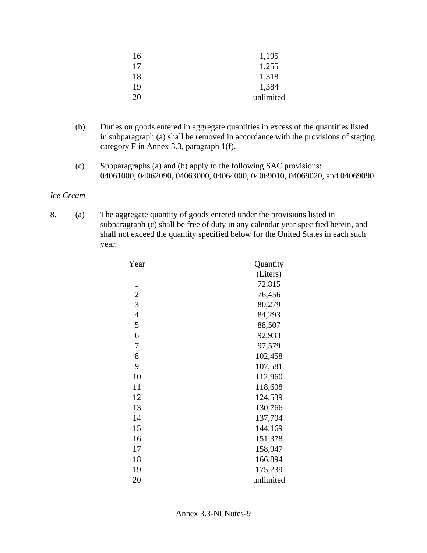| 16 | 1,195     |
|----|-----------|
| 17 | 1,255     |
| 18 | 1,318     |
| 19 | 1,384     |
| 20 | unlimited |

- (b) Duties on goods entered in aggregate quantities in excess of the quantities listed in subparagraph (a) shall be removed in accordance with the provisions of staging category F in Annex 3.3, paragraph 1(f).
- (c) Subparagraphs (a) and (b) apply to the following SAC provisions: 04061000, 04062090, 04063000, 04064000, 04069010, 04069020, and 04069090.

### *Ice Cream*

| Year           | Quantity  |
|----------------|-----------|
|                | (Liters)  |
| $\mathbf{1}$   | 72,815    |
| $\overline{2}$ | 76,456    |
| 3              | 80,279    |
| 4              | 84,293    |
| 5              | 88,507    |
| 6              | 92,933    |
| 7              | 97,579    |
| 8              | 102,458   |
| 9              | 107,581   |
| 10             | 112,960   |
| 11             | 118,608   |
| 12             | 124,539   |
| 13             | 130,766   |
| 14             | 137,704   |
| 15             | 144,169   |
| 16             | 151,378   |
| 17             | 158,947   |
| 18             | 166,894   |
| 19             | 175,239   |
| 20             | unlimited |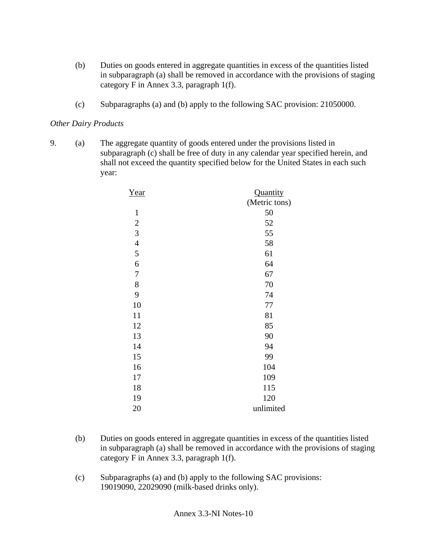- (b) Duties on goods entered in aggregate quantities in excess of the quantities listed in subparagraph (a) shall be removed in accordance with the provisions of staging category F in Annex 3.3, paragraph 1(f).
- (c) Subparagraphs (a) and (b) apply to the following SAC provision: 21050000.

# *Other Dairy Products*

| Year           | <b>Quantity</b> |
|----------------|-----------------|
|                | (Metric tons)   |
| $\mathbf{1}$   | 50              |
| $\overline{c}$ | 52              |
| 3              | 55              |
| $\overline{4}$ | 58              |
| 5              | 61              |
| 6              | 64              |
| $\overline{7}$ | 67              |
| 8              | 70              |
| 9              | 74              |
| 10             | 77              |
| 11             | 81              |
| 12             | 85              |
| 13             | 90              |
| 14             | 94              |
| 15             | 99              |
| 16             | 104             |
| 17             | 109             |
| 18             | 115             |
| 19             | 120             |
| 20             | unlimited       |

- (b) Duties on goods entered in aggregate quantities in excess of the quantities listed in subparagraph (a) shall be removed in accordance with the provisions of staging category F in Annex 3.3, paragraph 1(f).
- (c) Subparagraphs (a) and (b) apply to the following SAC provisions: 19019090, 22029090 (milk-based drinks only).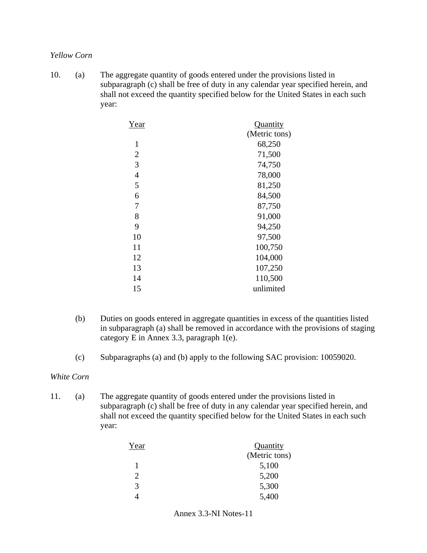#### *Yellow Corn*

10. (a) The aggregate quantity of goods entered under the provisions listed in subparagraph (c) shall be free of duty in any calendar year specified herein, and shall not exceed the quantity specified below for the United States in each such year:

| Year           | Quantity      |
|----------------|---------------|
|                | (Metric tons) |
| $\mathbf{1}$   | 68,250        |
| $\overline{2}$ | 71,500        |
| 3              | 74,750        |
| $\overline{4}$ | 78,000        |
| 5              | 81,250        |
| 6              | 84,500        |
| 7              | 87,750        |
| 8              | 91,000        |
| 9              | 94,250        |
| 10             | 97,500        |
| 11             | 100,750       |
| 12             | 104,000       |
| 13             | 107,250       |
| 14             | 110,500       |
| 15             | unlimited     |

- (b) Duties on goods entered in aggregate quantities in excess of the quantities listed in subparagraph (a) shall be removed in accordance with the provisions of staging category E in Annex 3.3, paragraph 1(e).
- (c) Subparagraphs (a) and (b) apply to the following SAC provision: 10059020.

#### *White Corn*

11. (a) The aggregate quantity of goods entered under the provisions listed in subparagraph (c) shall be free of duty in any calendar year specified herein, and shall not exceed the quantity specified below for the United States in each such year:

| Year           | Quantity      |
|----------------|---------------|
|                | (Metric tons) |
| 1              | 5,100         |
| $\mathfrak{D}$ | 5,200         |
| 3              | 5,300         |
|                | 5,400         |

Annex 3.3-NI Notes-11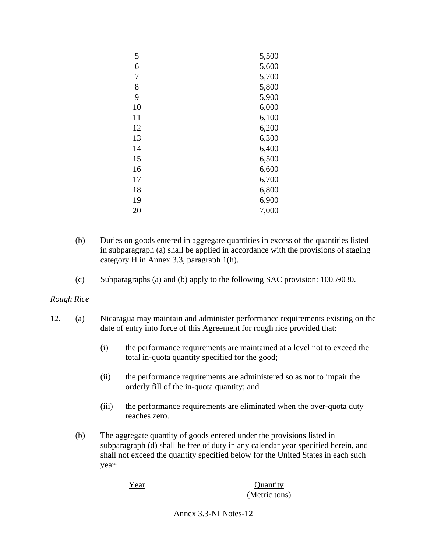| 5  | 5,500 |
|----|-------|
| 6  | 5,600 |
| 7  | 5,700 |
| 8  | 5,800 |
| 9  | 5,900 |
| 10 | 6,000 |
| 11 | 6,100 |
| 12 | 6,200 |
| 13 | 6,300 |
| 14 | 6,400 |
| 15 | 6,500 |
| 16 | 6,600 |
| 17 | 6,700 |
| 18 | 6,800 |
| 19 | 6,900 |
| 20 | 7,000 |

- (b) Duties on goods entered in aggregate quantities in excess of the quantities listed in subparagraph (a) shall be applied in accordance with the provisions of staging category H in Annex 3.3, paragraph 1(h).
- (c) Subparagraphs (a) and (b) apply to the following SAC provision: 10059030.

### *Rough Rice*

- 12. (a) Nicaragua may maintain and administer performance requirements existing on the date of entry into force of this Agreement for rough rice provided that:
	- (i) the performance requirements are maintained at a level not to exceed the total in-quota quantity specified for the good;
	- (ii) the performance requirements are administered so as not to impair the orderly fill of the in-quota quantity; and
	- (iii) the performance requirements are eliminated when the over-quota duty reaches zero.
	- (b) The aggregate quantity of goods entered under the provisions listed in subparagraph (d) shall be free of duty in any calendar year specified herein, and shall not exceed the quantity specified below for the United States in each such year:

Year Quantity (Metric tons)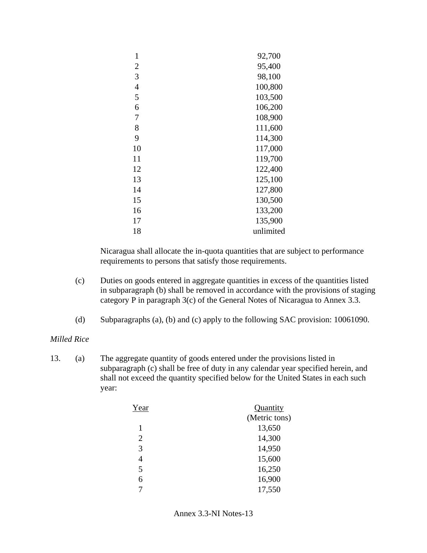| 1              | 92,700    |
|----------------|-----------|
| $\overline{2}$ | 95,400    |
| 3              | 98,100    |
| $\overline{4}$ | 100,800   |
| 5              | 103,500   |
| 6              | 106,200   |
| 7              | 108,900   |
| 8              | 111,600   |
| 9              | 114,300   |
| 10             | 117,000   |
| 11             | 119,700   |
| 12             | 122,400   |
| 13             | 125,100   |
| 14             | 127,800   |
| 15             | 130,500   |
| 16             | 133,200   |
| 17             | 135,900   |
| 18             | unlimited |
|                |           |

Nicaragua shall allocate the in-quota quantities that are subject to performance requirements to persons that satisfy those requirements.

- (c) Duties on goods entered in aggregate quantities in excess of the quantities listed in subparagraph (b) shall be removed in accordance with the provisions of staging category P in paragraph 3(c) of the General Notes of Nicaragua to Annex 3.3.
- (d) Subparagraphs (a), (b) and (c) apply to the following SAC provision: 10061090.

### *Milled Rice*

| Year           | Quantity      |
|----------------|---------------|
|                | (Metric tons) |
| 1              | 13,650        |
| $\overline{2}$ | 14,300        |
| 3              | 14,950        |
| 4              | 15,600        |
| 5              | 16,250        |
| 6              | 16,900        |
| 7              | 17,550        |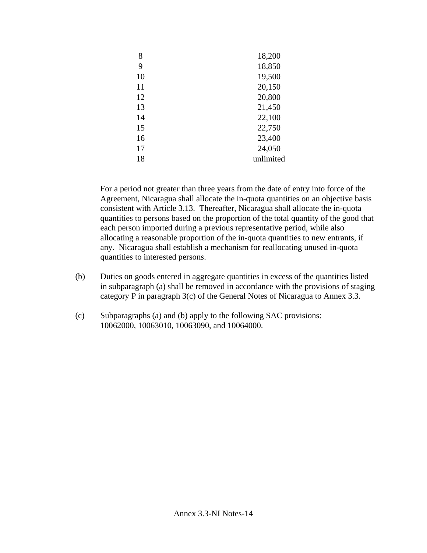| 8  | 18,200    |
|----|-----------|
| 9  | 18,850    |
| 10 | 19,500    |
| 11 | 20,150    |
| 12 | 20,800    |
| 13 | 21,450    |
| 14 | 22,100    |
| 15 | 22,750    |
| 16 | 23,400    |
| 17 | 24,050    |
| 18 | unlimited |

For a period not greater than three years from the date of entry into force of the Agreement, Nicaragua shall allocate the in-quota quantities on an objective basis consistent with Article 3.13. Thereafter, Nicaragua shall allocate the in-quota quantities to persons based on the proportion of the total quantity of the good that each person imported during a previous representative period, while also allocating a reasonable proportion of the in-quota quantities to new entrants, if any. Nicaragua shall establish a mechanism for reallocating unused in-quota quantities to interested persons.

- (b) Duties on goods entered in aggregate quantities in excess of the quantities listed in subparagraph (a) shall be removed in accordance with the provisions of staging category P in paragraph 3(c) of the General Notes of Nicaragua to Annex 3.3.
- (c) Subparagraphs (a) and (b) apply to the following SAC provisions: 10062000, 10063010, 10063090, and 10064000.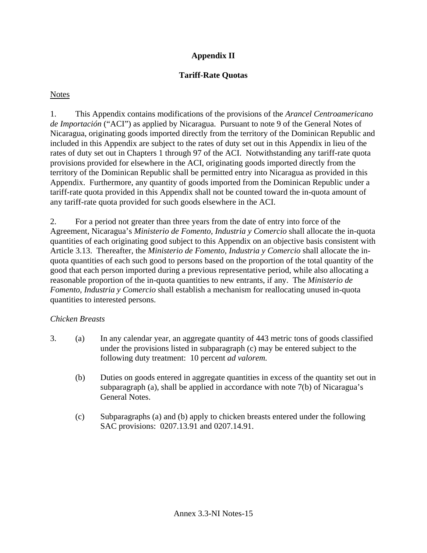# **Appendix II**

# **Tariff-Rate Quotas**

## **Notes**

1. This Appendix contains modifications of the provisions of the *Arancel Centroamericano de Importación* ("ACI") as applied by Nicaragua. Pursuant to note 9 of the General Notes of Nicaragua, originating goods imported directly from the territory of the Dominican Republic and included in this Appendix are subject to the rates of duty set out in this Appendix in lieu of the rates of duty set out in Chapters 1 through 97 of the ACI. Notwithstanding any tariff-rate quota provisions provided for elsewhere in the ACI, originating goods imported directly from the territory of the Dominican Republic shall be permitted entry into Nicaragua as provided in this Appendix. Furthermore, any quantity of goods imported from the Dominican Republic under a tariff-rate quota provided in this Appendix shall not be counted toward the in-quota amount of any tariff-rate quota provided for such goods elsewhere in the ACI.

2. For a period not greater than three years from the date of entry into force of the Agreement, Nicaragua's *Ministerio de Fomento, Industria y Comercio* shall allocate the in-quota quantities of each originating good subject to this Appendix on an objective basis consistent with Article 3.13. Thereafter, the *Ministerio de Fomento, Industria y Comercio* shall allocate the inquota quantities of each such good to persons based on the proportion of the total quantity of the good that each person imported during a previous representative period, while also allocating a reasonable proportion of the in-quota quantities to new entrants, if any. The *Ministerio de Fomento, Industria y Comercio* shall establish a mechanism for reallocating unused in-quota quantities to interested persons.

# *Chicken Breasts*

- 3. (a) In any calendar year, an aggregate quantity of 443 metric tons of goods classified under the provisions listed in subparagraph (c) may be entered subject to the following duty treatment: 10 percent *ad valorem.*
	- (b) Duties on goods entered in aggregate quantities in excess of the quantity set out in subparagraph (a), shall be applied in accordance with note 7(b) of Nicaragua's General Notes.
	- (c) Subparagraphs (a) and (b) apply to chicken breasts entered under the following SAC provisions: 0207.13.91 and 0207.14.91.